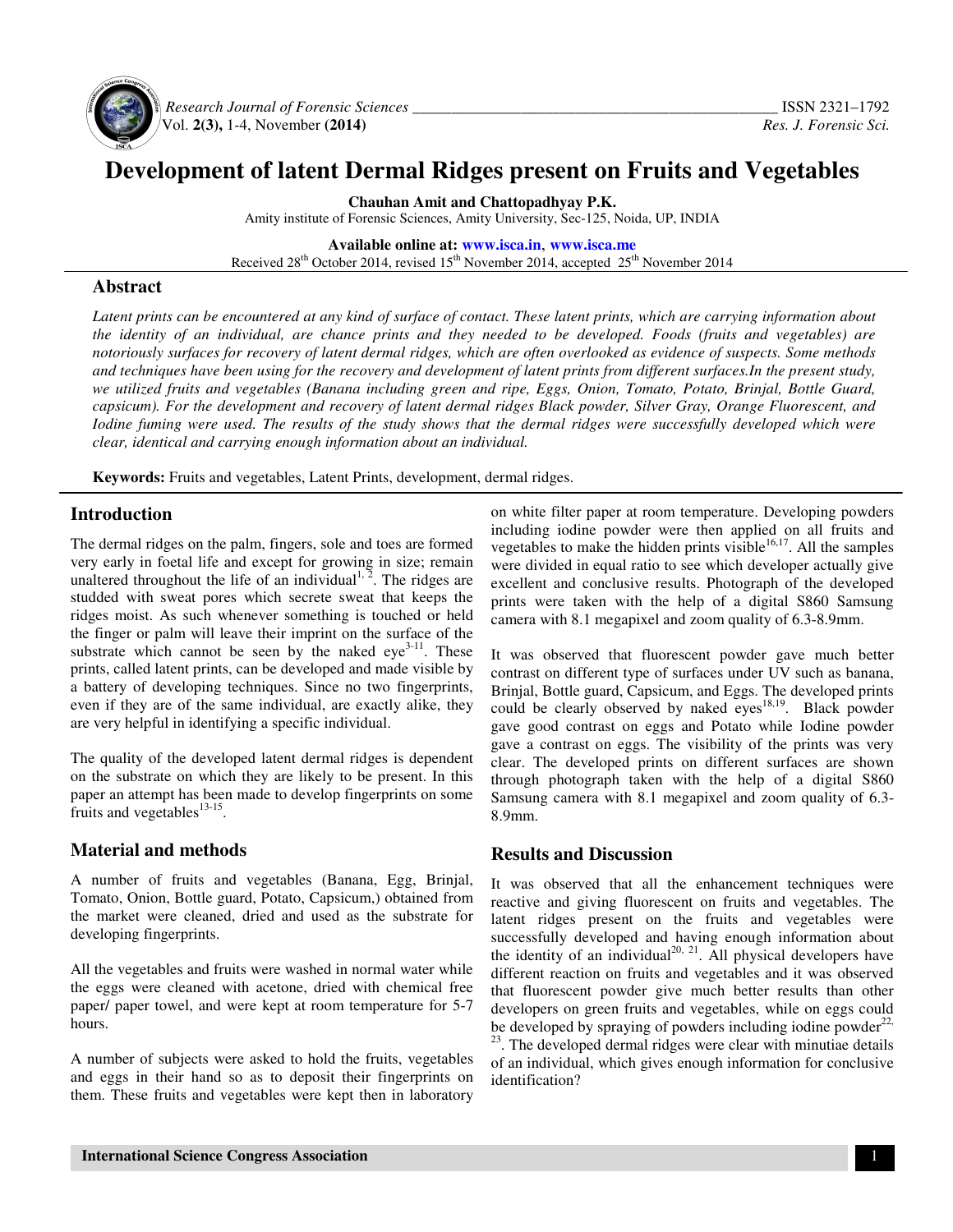

 *Research Journal of Forensic Sciences \_\_\_\_\_\_\_\_\_\_\_\_\_\_\_\_\_\_\_\_\_\_\_\_\_\_\_\_\_\_\_\_\_\_\_\_\_\_\_\_\_\_\_\_\_\_\_* ISSN 2321–1792 Vol. **2(3),** 1-4, November **(2014)** *Res. J. Forensic Sci.*

# **Development of latent Dermal Ridges present on Fruits and Vegetables**

**Chauhan Amit and Chattopadhyay P.K.**  Amity institute of Forensic Sciences, Amity University, Sec-125, Noida, UP, INDIA

**Available online at: www.isca.in**, **www.isca.me** Received  $28<sup>th</sup>$  October 2014, revised  $15<sup>th</sup>$  November 2014, accepted  $25<sup>th</sup>$  November 2014

## **Abstract**

*Latent prints can be encountered at any kind of surface of contact. These latent prints, which are carrying information about the identity of an individual, are chance prints and they needed to be developed. Foods (fruits and vegetables) are notoriously surfaces for recovery of latent dermal ridges, which are often overlooked as evidence of suspects. Some methods and techniques have been using for the recovery and development of latent prints from different surfaces.In the present study, we utilized fruits and vegetables (Banana including green and ripe, Eggs, Onion, Tomato, Potato, Brinjal, Bottle Guard, capsicum). For the development and recovery of latent dermal ridges Black powder, Silver Gray, Orange Fluorescent, and Iodine fuming were used. The results of the study shows that the dermal ridges were successfully developed which were clear, identical and carrying enough information about an individual.* 

**Keywords:** Fruits and vegetables, Latent Prints, development, dermal ridges.

## **Introduction**

The dermal ridges on the palm, fingers, sole and toes are formed very early in foetal life and except for growing in size; remain unaltered throughout the life of an individual  $\frac{1}{2}$ . The ridges are studded with sweat pores which secrete sweat that keeps the ridges moist. As such whenever something is touched or held the finger or palm will leave their imprint on the surface of the substrate which cannot be seen by the naked  $eye^{3-11}$ . These prints, called latent prints, can be developed and made visible by a battery of developing techniques. Since no two fingerprints, even if they are of the same individual, are exactly alike, they are very helpful in identifying a specific individual.

The quality of the developed latent dermal ridges is dependent on the substrate on which they are likely to be present. In this paper an attempt has been made to develop fingerprints on some fruits and vegetables $^{13-15}$ .

# **Material and methods**

A number of fruits and vegetables (Banana, Egg, Brinjal, Tomato, Onion, Bottle guard, Potato, Capsicum,) obtained from the market were cleaned, dried and used as the substrate for developing fingerprints.

All the vegetables and fruits were washed in normal water while the eggs were cleaned with acetone, dried with chemical free paper/ paper towel, and were kept at room temperature for 5-7 hours.

A number of subjects were asked to hold the fruits, vegetables and eggs in their hand so as to deposit their fingerprints on them. These fruits and vegetables were kept then in laboratory

on white filter paper at room temperature. Developing powders including iodine powder were then applied on all fruits and vegetables to make the hidden prints visible $16,17$ . All the samples were divided in equal ratio to see which developer actually give excellent and conclusive results. Photograph of the developed prints were taken with the help of a digital S860 Samsung camera with 8.1 megapixel and zoom quality of 6.3-8.9mm.

It was observed that fluorescent powder gave much better contrast on different type of surfaces under UV such as banana, Brinjal, Bottle guard, Capsicum, and Eggs. The developed prints could be clearly observed by naked  $eyes<sup>18,19</sup>$ . Black powder gave good contrast on eggs and Potato while Iodine powder gave a contrast on eggs. The visibility of the prints was very clear. The developed prints on different surfaces are shown through photograph taken with the help of a digital S860 Samsung camera with 8.1 megapixel and zoom quality of 6.3- 8.9mm.

## **Results and Discussion**

It was observed that all the enhancement techniques were reactive and giving fluorescent on fruits and vegetables. The latent ridges present on the fruits and vegetables were successfully developed and having enough information about the identity of an individual<sup>20, 21</sup>. All physical developers have different reaction on fruits and vegetables and it was observed that fluorescent powder give much better results than other developers on green fruits and vegetables, while on eggs could be developed by spraying of powders including iodine powder $^{22}$ , <sup>23</sup>. The developed dermal ridges were clear with minutiae details of an individual, which gives enough information for conclusive identification?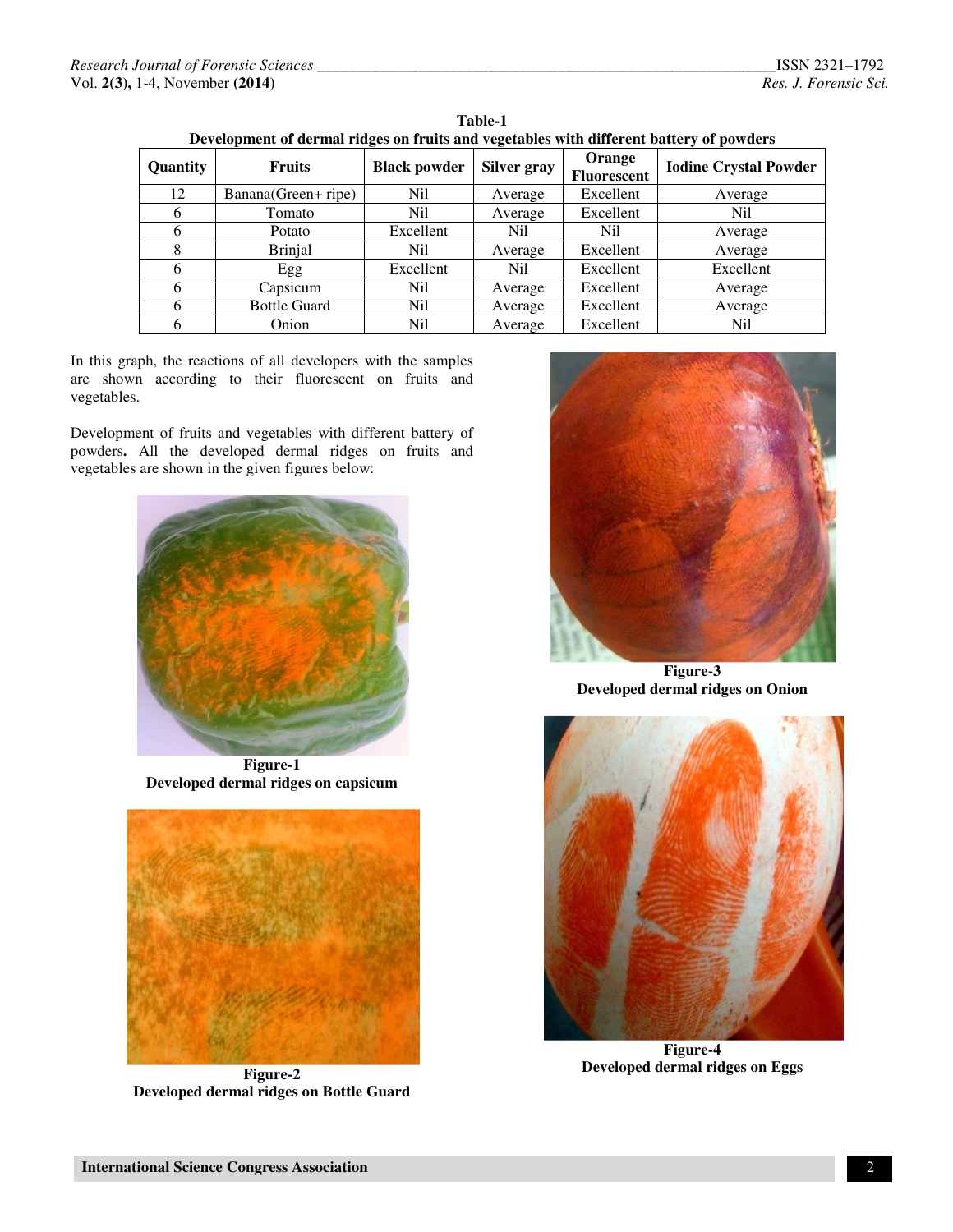| Development of definal fluges on fruits and vegetables with unferent battery of powders |                     |                     |             |                       |                              |
|-----------------------------------------------------------------------------------------|---------------------|---------------------|-------------|-----------------------|------------------------------|
| Quantity                                                                                | <b>Fruits</b>       | <b>Black powder</b> | Silver gray | Orange<br>Fluorescent | <b>Iodine Crystal Powder</b> |
| 12                                                                                      | Banana(Green+ ripe) | Nil                 | Average     | Excellent             | Average                      |
| 6                                                                                       | Tomato              | Nil                 | Average     | Excellent             | Nil                          |
| 6                                                                                       | Potato              | Excellent           | Nil         | Nil                   | Average                      |
| 8                                                                                       | <b>Brinjal</b>      | Nil                 | Average     | Excellent             | Average                      |
| 6                                                                                       | Egg                 | Excellent           | Nil         | Excellent             | Excellent                    |
| 6                                                                                       | Capsicum            | Nil                 | Average     | Excellent             | Average                      |
| 6                                                                                       | <b>Bottle Guard</b> | Nil                 | Average     | Excellent             | Average                      |
| h                                                                                       | Onion               | Nil                 | Average     | Excellent             | Nil                          |

**Table-1 Development of dermal ridges on fruits and vegetables with different battery of powders** 

In this graph, the reactions of all developers with the samples are shown according to their fluorescent on fruits and vegetables.

Development of fruits and vegetables with different battery of powders**.** All the developed dermal ridges on fruits and vegetables are shown in the given figures below:



**Figure-1 Developed dermal ridges on capsicum** 



**Figure-2 Developed dermal ridges on Bottle Guard**



**Figure-3 Developed dermal ridges on Onion** 



**Figure-4 Developed dermal ridges on Eggs**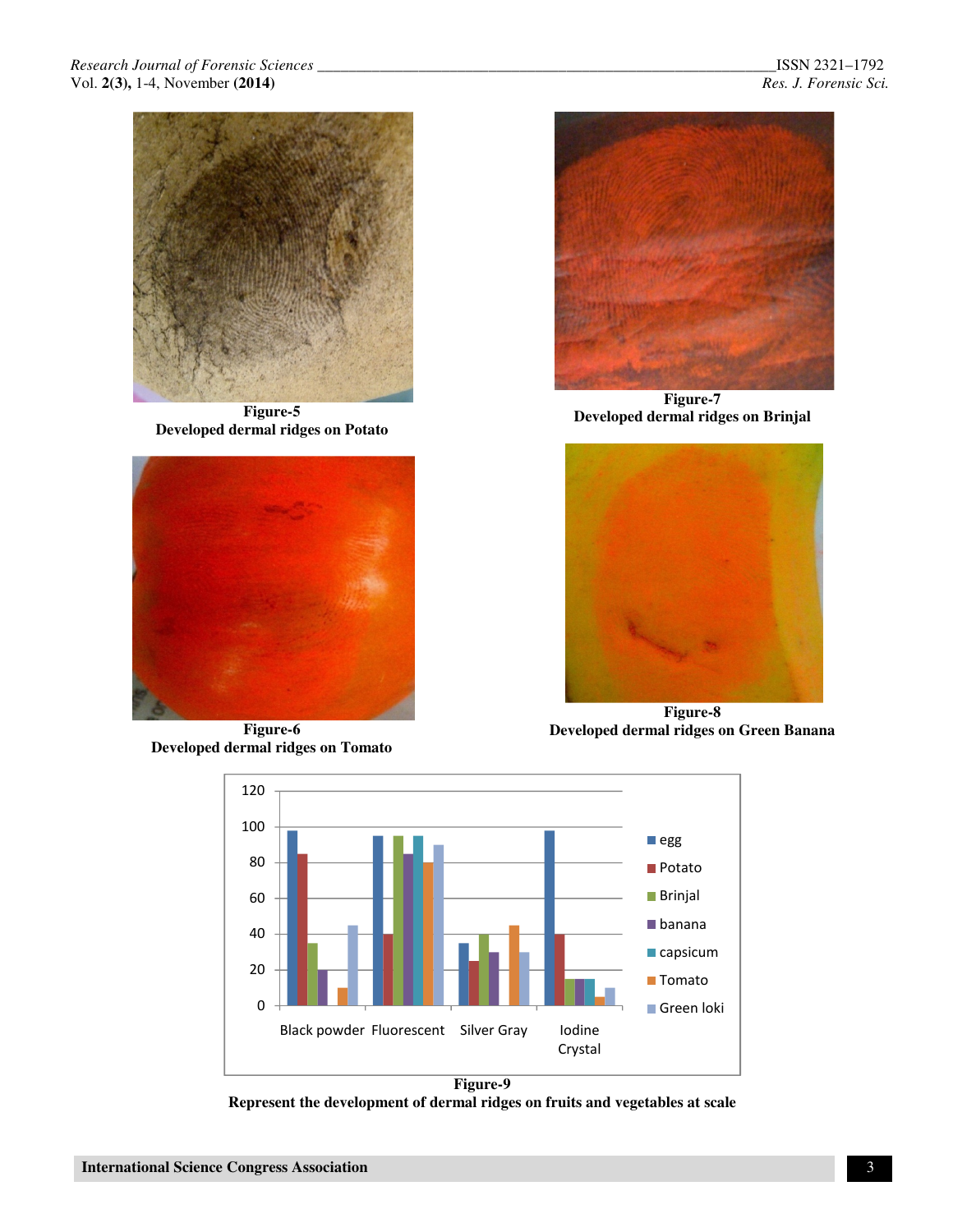

**Figure-5 Developed dermal ridges on Potato** 



**Figure-6 Developed dermal ridges on Tomato** 



**Figure-7 Developed dermal ridges on Brinjal** 



**Figure-8 Developed dermal ridges on Green Banana**



**Represent the development of dermal ridges on fruits and vegetables at scale**